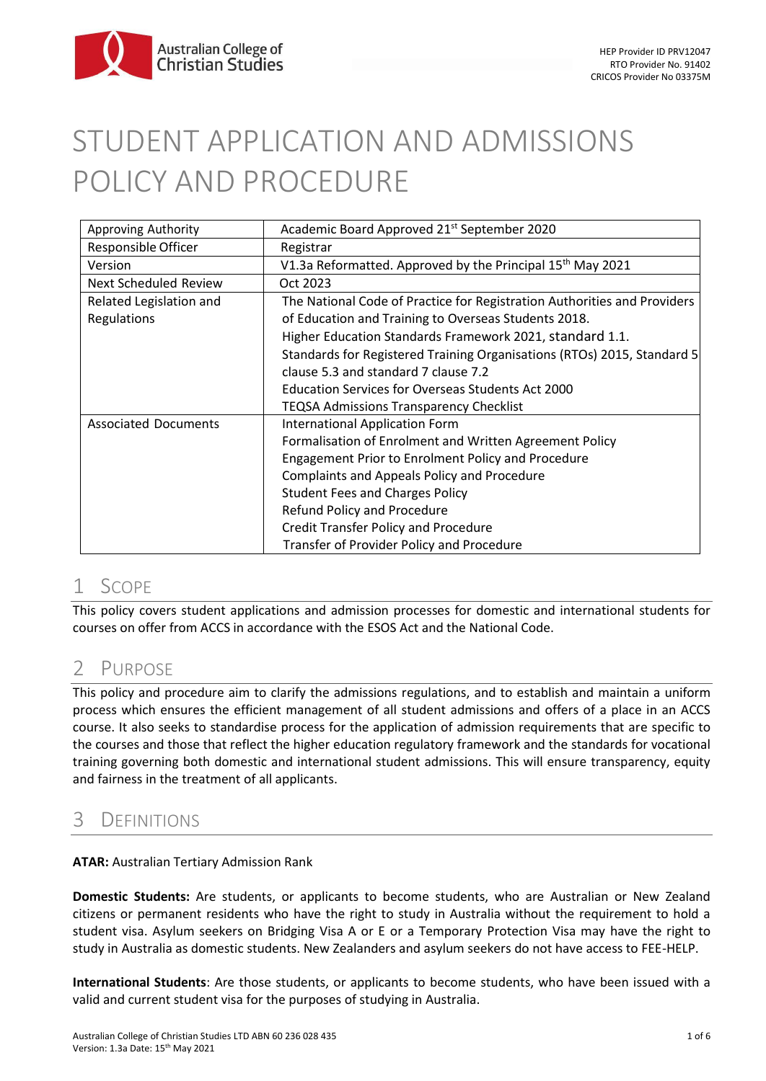# STUDENT APPLICATION AND ADMISSIONS POLICY AND PROCEDURE

| Approving Authority          | Academic Board Approved 21 <sup>st</sup> September 2020                  |
|------------------------------|--------------------------------------------------------------------------|
| Responsible Officer          | Registrar                                                                |
| Version                      | V1.3a Reformatted. Approved by the Principal 15 <sup>th</sup> May 2021   |
| <b>Next Scheduled Review</b> | Oct 2023                                                                 |
| Related Legislation and      | The National Code of Practice for Registration Authorities and Providers |
| <b>Regulations</b>           | of Education and Training to Overseas Students 2018.                     |
|                              | Higher Education Standards Framework 2021, standard 1.1.                 |
|                              | Standards for Registered Training Organisations (RTOs) 2015, Standard 5  |
|                              | clause 5.3 and standard 7 clause 7.2                                     |
|                              | <b>Education Services for Overseas Students Act 2000</b>                 |
|                              | TEQSA Admissions Transparency Checklist                                  |
| <b>Associated Documents</b>  | <b>International Application Form</b>                                    |
|                              | Formalisation of Enrolment and Written Agreement Policy                  |
|                              | Engagement Prior to Enrolment Policy and Procedure                       |
|                              | Complaints and Appeals Policy and Procedure                              |
|                              | <b>Student Fees and Charges Policy</b>                                   |
|                              | Refund Policy and Procedure                                              |
|                              | <b>Credit Transfer Policy and Procedure</b>                              |
|                              | Transfer of Provider Policy and Procedure                                |

# 1 SCOPE

This policy covers student applications and admission processes for domestic and international students for courses on offer from ACCS in accordance with the ESOS Act and the National Code.

# 2 PURPOSE

This policy and procedure aim to clarify the admissions regulations, and to establish and maintain a uniform process which ensures the efficient management of all student admissions and offers of a place in an ACCS course. It also seeks to standardise process for the application of admission requirements that are specific to the courses and those that reflect the higher education regulatory framework and the standards for vocational training governing both domestic and international student admissions. This will ensure transparency, equity and fairness in the treatment of all applicants.

# 3 DEFINITIONS

**ATAR:** Australian Tertiary Admission Rank

**Domestic Students:** Are students, or applicants to become students, who are Australian or New Zealand citizens or permanent residents who have the right to study in Australia without the requirement to hold a student visa. Asylum seekers on Bridging Visa A or E or a Temporary Protection Visa may have the right to study in Australia as domestic students. New Zealanders and asylum seekers do not have access to FEE-HELP.

**International Students**: Are those students, or applicants to become students, who have been issued with a valid and current student visa for the purposes of studying in Australia.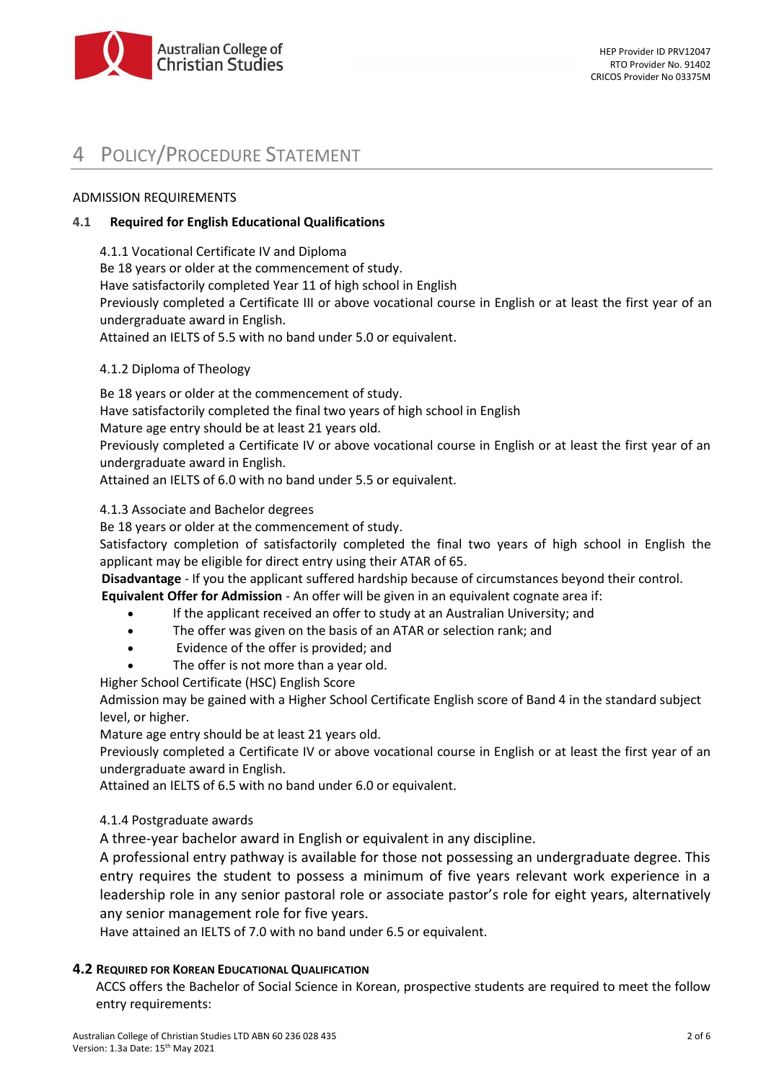

# POLICY/PROCEDURE STATEMENT

### ADMISSION REQUIREMENTS

### **4.1 Required for English Educational Qualifications**

4.1.1 Vocational Certificate IV and Diploma Be 18 years or older at the commencement of study. Have satisfactorily completed Year 11 of high school in English Previously completed a Certificate III or above vocational course in English or at least the first year of an undergraduate award in English. Attained an IELTS of 5.5 with no band under 5.0 or equivalent.

### 4.1.2 Diploma of Theology

Be 18 years or older at the commencement of study.

Have satisfactorily completed the final two years of high school in English

Mature age entry should be at least 21 years old.

Previously completed a Certificate IV or above vocational course in English or at least the first year of an undergraduate award in English.

Attained an IELTS of 6.0 with no band under 5.5 or equivalent.

# 4.1.3 Associate and Bachelor degrees

Be 18 years or older at the commencement of study.

Satisfactory completion of satisfactorily completed the final two years of high school in English the applicant may be eligible for direct entry using their ATAR of 65.

**Disadvantage** - If you the applicant suffered hardship because of circumstances beyond their control.

**Equivalent Offer for Admission** - An offer will be given in an equivalent cognate area if:

- If the applicant received an offer to study at an Australian University; and
- The offer was given on the basis of an ATAR or selection rank; and
- Evidence of the offer is provided; and
- The offer is not more than a year old.

Higher School Certificate (HSC) English Score

Admission may be gained with a Higher School Certificate English score of Band 4 in the standard subject level, or higher.

Mature age entry should be at least 21 years old.

Previously completed a Certificate IV or above vocational course in English or at least the first year of an undergraduate award in English.

Attained an IELTS of 6.5 with no band under 6.0 or equivalent.

# 4.1.4 Postgraduate awards

A three-year bachelor award in English or equivalent in any discipline.

A professional entry pathway is available for those not possessing an undergraduate degree. This entry requires the student to possess a minimum of five years relevant work experience in a leadership role in any senior pastoral role or associate pastor's role for eight years, alternatively any senior management role for five years.

Have attained an IELTS of 7.0 with no band under 6.5 or equivalent.

#### **4.2 REQUIRED FOR KOREAN EDUCATIONAL QUALIFICATION**

ACCS offers the Bachelor of Social Science in Korean, prospective students are required to meet the follow entry requirements: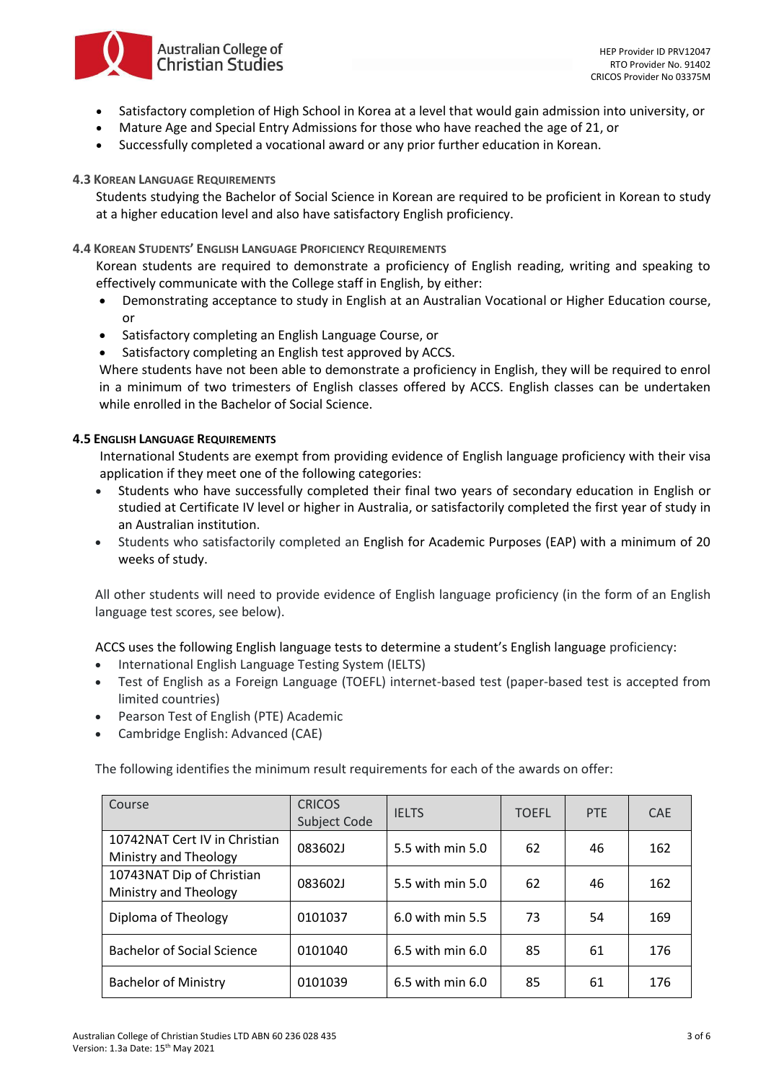- Satisfactory completion of High School in Korea at a level that would gain admission into university, or
- Mature Age and Special Entry Admissions for those who have reached the age of 21, or
- Successfully completed a vocational award or any prior further education in Korean.

#### **4.3 KOREAN LANGUAGE REQUIREMENTS**

Australian College of **Christian Studies** 

Students studying the Bachelor of Social Science in Korean are required to be proficient in Korean to study at a higher education level and also have satisfactory English proficiency.

#### **4.4 KOREAN STUDENTS' ENGLISH LANGUAGE PROFICIENCY REQUIREMENTS**

Korean students are required to demonstrate a proficiency of English reading, writing and speaking to effectively communicate with the College staff in English, by either:

- Demonstrating acceptance to study in English at an Australian Vocational or Higher Education course, or
- Satisfactory completing an English Language Course, or
- Satisfactory completing an English test approved by ACCS.

Where students have not been able to demonstrate a proficiency in English, they will be required to enrol in a minimum of two trimesters of English classes offered by ACCS. English classes can be undertaken while enrolled in the Bachelor of Social Science.

#### **4.5 ENGLISH LANGUAGE REQUIREMENTS**

International Students are exempt from providing evidence of English language proficiency with their visa application if they meet one of the following categories:

- Students who have successfully completed their final two years of secondary education in English or studied at Certificate IV level or higher in Australia, or satisfactorily completed the first year of study in an Australian institution.
- Students who satisfactorily completed an English for Academic Purposes (EAP) with a minimum of 20 weeks of study.

All other students will need to provide evidence of English language proficiency (in the form of an English language test scores, see below).

ACCS uses the following English language tests to determine a student's English language proficiency:

- International English Language Testing System (IELTS)
- Test of English as a Foreign Language (TOEFL) internet-based test (paper-based test is accepted from limited countries)
- Pearson Test of English (PTE) Academic
- Cambridge English: Advanced (CAE)

The following identifies the minimum result requirements for each of the awards on offer:

| Course                                                 | <b>CRICOS</b><br>Subject Code | <b>IELTS</b>         | <b>TOEFL</b> | PTE | <b>CAE</b> |
|--------------------------------------------------------|-------------------------------|----------------------|--------------|-----|------------|
| 10742NAT Cert IV in Christian<br>Ministry and Theology | 083602J                       | 5.5 with min 5.0     | 62           | 46  | 162        |
| 10743NAT Dip of Christian<br>Ministry and Theology     | 083602J                       | 5.5 with min 5.0     | 62           | 46  | 162        |
| Diploma of Theology                                    | 0101037                       | 6.0 with min 5.5     | 73           | 54  | 169        |
| <b>Bachelor of Social Science</b>                      | 0101040                       | 6.5 with min 6.0     | 85           | 61  | 176        |
| <b>Bachelor of Ministry</b>                            | 0101039                       | $6.5$ with min $6.0$ | 85           | 61  | 176        |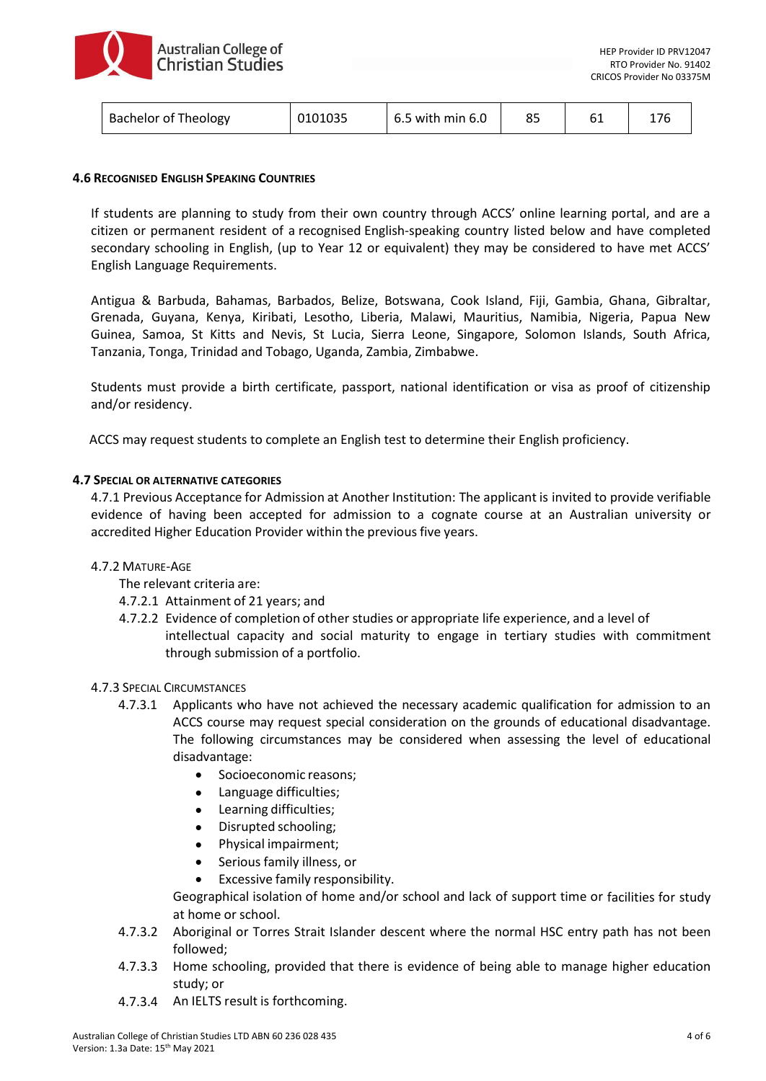

| <b>Bachelor of Theology</b> | 0101035 | 6.5 with min 6.0 |  |  |  |
|-----------------------------|---------|------------------|--|--|--|
|-----------------------------|---------|------------------|--|--|--|

#### **4.6 RECOGNISED ENGLISH SPEAKING COUNTRIES**

If students are planning to study from their own country through ACCS' online learning portal, and are a citizen or permanent resident of a recognised English-speaking country listed below and have completed secondary schooling in English, (up to Year 12 or equivalent) they may be considered to have met ACCS' English Language Requirements.

Antigua & Barbuda, Bahamas, Barbados, Belize, Botswana, Cook Island, Fiji, Gambia, Ghana, Gibraltar, Grenada, Guyana, Kenya, Kiribati, Lesotho, Liberia, Malawi, Mauritius, Namibia, Nigeria, Papua New Guinea, Samoa, St Kitts and Nevis, St Lucia, Sierra Leone, Singapore, Solomon Islands, South Africa, Tanzania, Tonga, Trinidad and Tobago, Uganda, Zambia, Zimbabwe.

Students must provide a birth certificate, passport, national identification or visa as proof of citizenship and/or residency.

ACCS may request students to complete an English test to determine their English proficiency.

#### **4.7 SPECIAL OR ALTERNATIVE CATEGORIES**

4.7.1 Previous Acceptance for Admission at Another Institution: The applicant is invited to provide verifiable evidence of having been accepted for admission to a cognate course at an Australian university or accredited Higher Education Provider within the previous five years.

#### 4.7.2 MATURE-AGE

- The relevant criteria are:
- 4.7.2.1 Attainment of 21 years; and
- 4.7.2.2 Evidence of completion of other studies or appropriate life experience, and a level of intellectual capacity and social maturity to engage in tertiary studies with commitment through submission of a portfolio.

#### 4.7.3 SPECIAL CIRCUMSTANCES

- 4.7.3.1 Applicants who have not achieved the necessary academic qualification for admission to an ACCS course may request special consideration on the grounds of educational disadvantage. The following circumstances may be considered when assessing the level of educational disadvantage:
	- Socioeconomic reasons;
	- Language difficulties;
	- Learning difficulties;
	- Disrupted schooling;
	- Physical impairment;
	- Serious family illness, or
	- Excessive family responsibility.

Geographical isolation of home and/or school and lack of support time or facilities for study at home or school.

- 4.7.3.2 Aboriginal or Torres Strait Islander descent where the normal HSC entry path has not been followed;
- 4.7.3.3 Home schooling, provided that there is evidence of being able to manage higher education study; or
- 4.7.3.4 An IELTS result is forthcoming.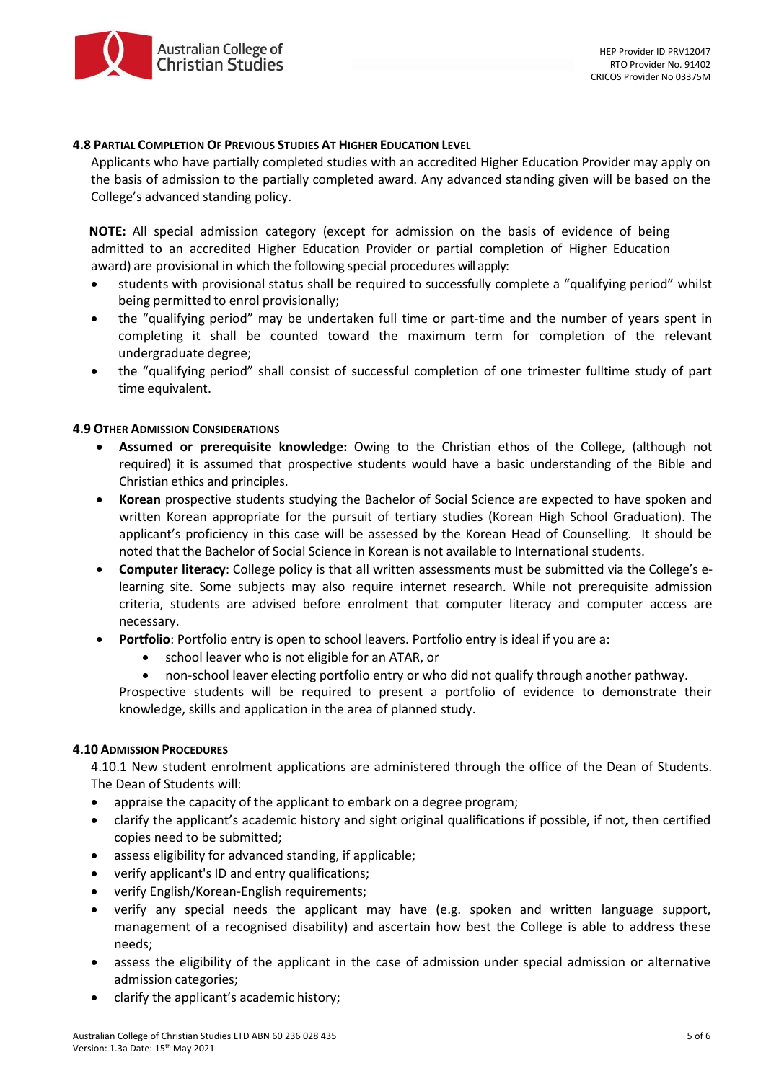

#### **4.8 PARTIAL COMPLETION OF PREVIOUS STUDIES AT HIGHER EDUCATION LEVEL**

Applicants who have partially completed studies with an accredited Higher Education Provider may apply on the basis of admission to the partially completed award. Any advanced standing given will be based on the College's advanced standing policy.

 **NOTE:** All special admission category (except for admission on the basis of evidence of being admitted to an accredited Higher Education Provider or partial completion of Higher Education award) are provisional in which the following special procedures will apply:

- students with provisional status shall be required to successfully complete a "qualifying period" whilst being permitted to enrol provisionally;
- the "qualifying period" may be undertaken full time or part-time and the number of years spent in completing it shall be counted toward the maximum term for completion of the relevant undergraduate degree;
- the "qualifying period" shall consist of successful completion of one trimester fulltime study of part time equivalent.

#### **4.9 OTHER ADMISSION CONSIDERATIONS**

- **Assumed or prerequisite knowledge:** Owing to the Christian ethos of the College, (although not required) it is assumed that prospective students would have a basic understanding of the Bible and Christian ethics and principles.
- **Korean** prospective students studying the Bachelor of Social Science are expected to have spoken and written Korean appropriate for the pursuit of tertiary studies (Korean High School Graduation). The applicant's proficiency in this case will be assessed by the Korean Head of Counselling. It should be noted that the Bachelor of Social Science in Korean is not available to International students.
- **Computer literacy**: College policy is that all written assessments must be submitted via the College's elearning site. Some subjects may also require internet research. While not prerequisite admission criteria, students are advised before enrolment that computer literacy and computer access are necessary.
- **Portfolio**: Portfolio entry is open to school leavers. Portfolio entry is ideal if you are a:
	- school leaver who is not eligible for an ATAR, or
	- non-school leaver electing portfolio entry or who did not qualify through another pathway.

Prospective students will be required to present a portfolio of evidence to demonstrate their knowledge, skills and application in the area of planned study.

#### **4.10 ADMISSION PROCEDURES**

4.10.1 New student enrolment applications are administered through the office of the Dean of Students. The Dean of Students will:

- appraise the capacity of the applicant to embark on a degree program;
- clarify the applicant's academic history and sight original qualifications if possible, if not, then certified copies need to be submitted;
- assess eligibility for advanced standing, if applicable;
- verify applicant's ID and entry qualifications;
- verify English/Korean-English requirements;
- verify any special needs the applicant may have (e.g. spoken and written language support, management of a recognised disability) and ascertain how best the College is able to address these needs;
- assess the eligibility of the applicant in the case of admission under special admission or alternative admission categories;
- clarify the applicant's academic history;